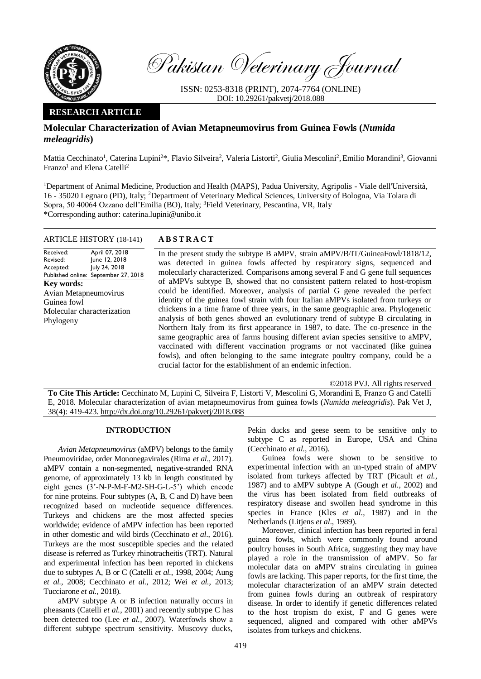

Pakistan Veterinary Journal

ISSN: 0253-8318 (PRINT), 2074-7764 (ONLINE) DOI: 10.29261/pakvetj/2018.088

# **RESEARCH ARTICLE**

# **Molecular Characterization of Avian Metapneumovirus from Guinea Fowls (***Numida meleagridis***)**

Mattia Cecchinato<sup>1</sup>, Caterina Lupini<sup>2\*</sup>, Flavio Silveira<sup>2</sup>, Valeria Listorti<sup>2</sup>, Giulia Mescolini<sup>2</sup>, Emilio Morandini<sup>3</sup>, Giovanni Franzo<sup>1</sup> and Elena Catelli<sup>2</sup>

<sup>1</sup>Department of Animal Medicine, Production and Health (MAPS), Padua University, Agripolis - Viale dell'Università, 16 - 35020 Legnaro (PD), Italy; <sup>2</sup>Department of Veterinary Medical Sciences, University of Bologna, Via Tolara di Sopra, 50 40064 Ozzano dell'Emilia (BO), Italy; <sup>3</sup>Field Veterinary, Pescantina, VR, Italy \*Corresponding author: caterina.lupini@unibo.it

## ARTICLE HISTORY (18-141) **A B S T R A C T**

Received: Revised: Accepted: Published online: September 27, 2018 April 07, 2018 June 12, 2018 July 24, 2018 **Key words:**  Avian Metapneumovirus Guinea fowl Molecular characterization Phylogeny

In the present study the subtype B aMPV, strain aMPV/B/IT/GuineaFowl/1818/12, was detected in guinea fowls affected by respiratory signs, sequenced and molecularly characterized. Comparisons among several F and G gene full sequences of aMPVs subtype B, showed that no consistent pattern related to host-tropism could be identified. Moreover, analysis of partial G gene revealed the perfect identity of the guinea fowl strain with four Italian aMPVs isolated from turkeys or chickens in a time frame of three years, in the same geographic area. Phylogenetic analysis of both genes showed an evolutionary trend of subtype B circulating in Northern Italy from its first appearance in 1987, to date. The co-presence in the same geographic area of farms housing different avian species sensitive to aMPV, vaccinated with different vaccination programs or not vaccinated (like guinea fowls), and often belonging to the same integrate poultry company, could be a crucial factor for the establishment of an endemic infection.

©2018 PVJ. All rights reserved

**To Cite This Article:** Cecchinato M, Lupini C, Silveira F, Listorti V, Mescolini G, Morandini E, Franzo G and Catelli E, 2018. Molecular characterization of avian metapneumovirus from guinea fowls (*Numida meleagridis*). Pak Vet J, 38(4): 419-423[. http://dx.doi.org/10.29261/pakvetj/2018.088](http://pvj.com.pk/pdf-files/38_4/419-423.pdf) 

## **INTRODUCTION**

*Avian Metapneumovirus* (aMPV) belongs to the family Pneumoviridae, order Mononegavirales (Rima *et al*., 2017). aMPV contain a non-segmented, negative-stranded RNA genome, of approximately 13 kb in length constituted by eight genes (3'-N-P-M-F-M2-SH-G-L-5') which encode for nine proteins. Four subtypes (A, B, C and D) have been recognized based on nucleotide sequence differences. Turkeys and chickens are the most affected species worldwide; evidence of aMPV infection has been reported in other domestic and wild birds (Cecchinato *et al*., 2016). Turkeys are the most susceptible species and the related disease is referred as Turkey rhinotracheitis (TRT). Natural and experimental infection has been reported in chickens due to subtypes A, B or C (Catelli *et al.*, 1998, 2004; Aung *et al.*, 2008; Cecchinato *et al.*, 2012; Wei *et al.*, 2013; Tucciarone *et al.*, 2018).

aMPV subtype A or B infection naturally occurs in pheasants (Catelli *et al.*, 2001) and recently subtype C has been detected too (Lee *et al.*, 2007). Waterfowls show a different subtype spectrum sensitivity. Muscovy ducks,

Pekin ducks and geese seem to be sensitive only to subtype C as reported in Europe, USA and China (Cecchinato *et al.*, 2016).

Guinea fowls were shown to be sensitive to experimental infection with an un-typed strain of aMPV isolated from turkeys affected by TRT (Picault *et al.*, 1987) and to aMPV subtype A (Gough *et al.*, 2002) and the virus has been isolated from field outbreaks of respiratory disease and swollen head syndrome in this species in France (Kles *et al*., 1987) and in the Netherlands (Litjens *et al*., 1989).

Moreover, clinical infection has been reported in feral guinea fowls, which were commonly found around poultry houses in South Africa, suggesting they may have played a role in the transmission of aMPV. So far molecular data on aMPV strains circulating in guinea fowls are lacking. This paper reports, for the first time, the molecular characterization of an aMPV strain detected from guinea fowls during an outbreak of respiratory disease. In order to identify if genetic differences related to the host tropism do exist, F and G genes were sequenced, aligned and compared with other aMPVs isolates from turkeys and chickens.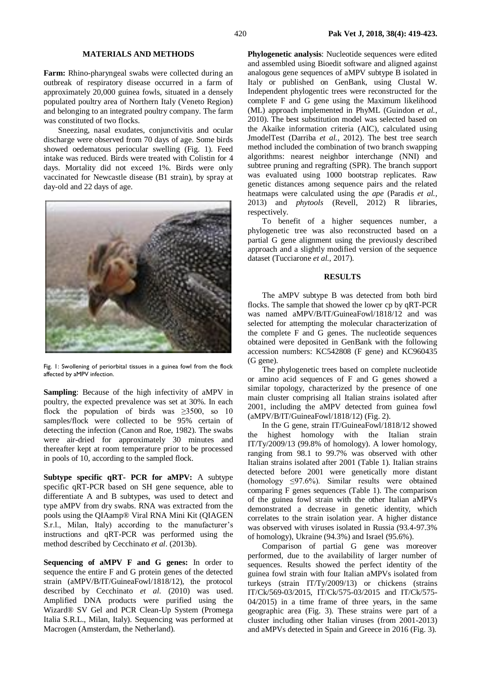#### **MATERIALS AND METHODS**

**Farm:** Rhino-pharyngeal swabs were collected during an outbreak of respiratory disease occurred in a farm of approximately 20,000 guinea fowls, situated in a densely populated poultry area of Northern Italy (Veneto Region) and belonging to an integrated poultry company. The farm was constituted of two flocks.

Sneezing, nasal exudates, conjunctivitis and ocular discharge were observed from 70 days of age. Some birds showed oedematous periocular swelling (Fig. 1). Feed intake was reduced. Birds were treated with Colistin for 4 days. Mortality did not exceed 1%. Birds were only vaccinated for Newcastle disease (B1 strain), by spray at day-old and 22 days of age.



Fig. 1: Swollening of periorbital tissues in a guinea fowl from the flock affected by aMPV infection.

**Sampling**: Because of the high infectivity of aMPV in poultry, the expected prevalence was set at 30%. In each flock the population of birds was  $\geq 3500$ , so 10 samples/flock were collected to be 95% certain of detecting the infection (Canon and Roe, 1982). The swabs were air-dried for approximately 30 minutes and thereafter kept at room temperature prior to be processed in pools of 10, according to the sampled flock.

**Subtype specific qRT- PCR for aMPV:** A subtype specific qRT-PCR based on SH gene sequence, able to differentiate A and B subtypes, was used to detect and type aMPV from dry swabs. RNA was extracted from the pools using the QIAamp® Viral RNA Mini Kit (QIAGEN S.r.l., Milan, Italy) according to the manufacturer's instructions and qRT-PCR was performed using the method described by Cecchinato *et al*. (2013b).

**Sequencing of aMPV F and G genes:** In order to sequence the entire F and G protein genes of the detected strain (aMPV/B/IT/GuineaFowl/1818/12), the protocol described by Cecchinato *et al*. (2010) was used. Amplified DNA products were purified using the Wizard® SV Gel and PCR Clean-Up System (Promega Italia S.R.L., Milan, Italy). Sequencing was performed at Macrogen (Amsterdam, the Netherland).

**Phylogenetic analysis**: Nucleotide sequences were edited and assembled using Bioedit software and aligned against analogous gene sequences of aMPV subtype B isolated in Italy or published on GenBank, using Clustal W. Independent phylogentic trees were reconstructed for the complete F and G gene using the Maximum likelihood (ML) approach implemented in PhyML (Guindon *et al.*, 2010). The best substitution model was selected based on the Akaike information criteria (AIC), calculated using JmodelTest (Darriba *et al.*, 2012). The best tree search method included the combination of two branch swapping algorithms: nearest neighbor interchange (NNI) and subtree pruning and regrafting (SPR). The branch support was evaluated using 1000 bootstrap replicates. Raw genetic distances among sequence pairs and the related heatmaps were calculated using the *ape* (Paradis *et al.,*  2013) and *phytools* (Revell, 2012) R libraries, respectively.

To benefit of a higher sequences number, a phylogenetic tree was also reconstructed based on a partial G gene alignment using the previously described approach and a slightly modified version of the sequence dataset (Tucciarone *et al.*, 2017).

## **RESULTS**

The aMPV subtype B was detected from both bird flocks. The sample that showed the lower cp by qRT-PCR was named aMPV/B/IT/GuineaFowl/1818/12 and was selected for attempting the molecular characterization of the complete F and G genes. The nucleotide sequences obtained were deposited in GenBank with the following accession numbers: KC542808 (F gene) and KC960435 (G gene).

The phylogenetic trees based on complete nucleotide or amino acid sequences of F and G genes showed a similar topology, characterized by the presence of one main cluster comprising all Italian strains isolated after 2001, including the aMPV detected from guinea fowl (aMPV/B/IT/GuineaFowl/1818/12) (Fig. 2).

In the G gene, strain IT/GuineaFowl/1818/12 showed the highest homology with the Italian strain IT/Ty/2009/13 (99.8% of homology). A lower homology, ranging from 98.1 to 99.7% was observed with other Italian strains isolated after 2001 (Table 1). Italian strains detected before 2001 were genetically more distant (homology  $\leq 97.6\%$ ). Similar results were obtained comparing F genes sequences (Table 1). The comparison of the guinea fowl strain with the other Italian aMPVs demonstrated a decrease in genetic identity, which correlates to the strain isolation year. A higher distance was observed with viruses isolated in Russia (93.4-97.3% of homology), Ukraine (94.3%) and Israel (95.6%).

Comparison of partial G gene was moreover performed, due to the availability of larger number of sequences. Results showed the perfect identity of the guinea fowl strain with four Italian aMPVs isolated from turkeys (strain IT/Ty/2009/13) or chickens (strains IT/Ck/569-03/2015, IT/Ck/575-03/2015 and IT/Ck/575- 04/2015) in a time frame of three years, in the same geographic area (Fig. 3). These strains were part of a cluster including other Italian viruses (from 2001-2013) and aMPVs detected in Spain and Greece in 2016 (Fig. 3).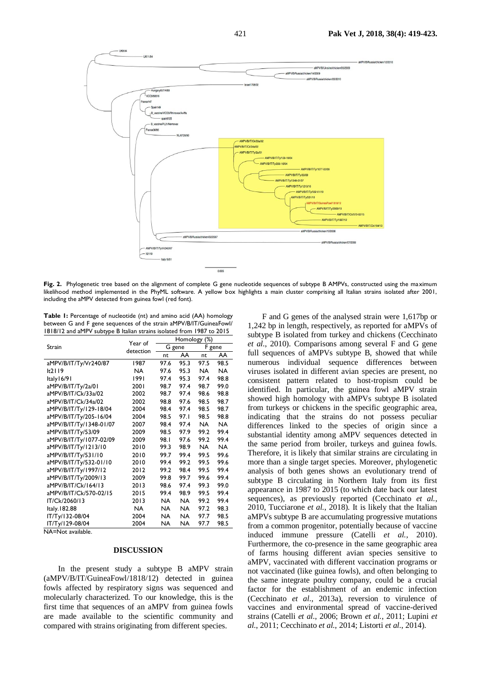

Fig. 2. Phylogenetic tree based on the alignment of complete G gene nucleotide sequences of subtype B AMPVs, constructed using the maximum likelihood method implemented in the PhyML software. A yellow box highlights a main cluster comprising all Italian strains isolated after 2001, including the aMPV detected from guinea fowl (red font).

**Table 1:** Percentage of nucleotide (nt) and amino acid (AA) homology between G and F gene sequences of the strain aMPV/B/IT/GuineaFowl/ 1818/12 and aMPV subtype B Italian strains isolated from 1987 to 2015

| Strain                  | Year of<br>detection | Homology (%) |           |           |      |
|-------------------------|----------------------|--------------|-----------|-----------|------|
|                         |                      | G gene       |           | F gene    |      |
|                         |                      | nt           | AA        | nt        | AA   |
| aMPV/B/IT/Ty/Vr240/87   | 1987                 | 97.6         | 95.3      | 97.5      | 98.5 |
| lt2119                  | NA                   | 97.6         | 95.3      | <b>NA</b> | NA   |
| Italy 16/91             | 1991                 | 97.4         | 95.3      | 97.4      | 98.8 |
| aMPV/B/IT/Ty/2a/01      | 2001                 | 98.7         | 97.4      | 98.7      | 99.0 |
| aMPV/B/IT/Ck/33a/02     | 2002                 | 98.7         | 97.4      | 98.6      | 98.8 |
| aMPV/B/IT/Ck/34a/02     | 2002                 | 98.8         | 97.6      | 98.5      | 98.7 |
| aMPV/B/IT/Ty/129-18/04  | 2004                 | 98.4         | 97.4      | 98.5      | 98.7 |
| aMPV/B/IT/Ty/205-16/04  | 2004                 | 98.5         | 97.I      | 98.5      | 98.8 |
| aMPV/B/IT/Ty/1348-01/07 | 2007                 | 98.4         | 97.4      | NA        | NA   |
| aMPV/B/IT/Ty/53/09      | 2009                 | 98.5         | 97.9      | 99.2      | 99.4 |
| aMPV/B/IT/Ty/1077-02/09 | 2009                 | 98.I         | 97.6      | 99.2      | 99.4 |
| aMPV/B/IT/Ty/1213/10    | 2010                 | 99.3         | 98.9      | <b>NA</b> | NA   |
| aMPV/B/IT/Ty/531/10     | 2010                 | 99.7         | 99.4      | 99.5      | 99.6 |
| aMPV/B/IT/Ty/532-01/10  | 2010                 | 99.4         | 99.2      | 99.5      | 99.6 |
| aMPV/B/IT/Ty/1997/12    | 2012                 | 99.2         | 98.4      | 99.5      | 99.4 |
| aMPV/B/IT/Ty/2009/13    | 2009                 | 99.8         | 99.7      | 99.6      | 99.4 |
| aMPV/B/IT/Ck/164/13     | 2013                 | 98.6         | 97.4      | 99.3      | 99.0 |
| aMPV/B/IT/Ck/570-02/15  | 2015                 | 99.4         | 98.9      | 99.5      | 99.4 |
| IT/Ck/2060/13           | 2013                 | NA.          | <b>NA</b> | 99.2      | 99.4 |
| Italy.182.88            | <b>NA</b>            | NA           | <b>NA</b> | 97.2      | 98.3 |
| IT/Ty/132-08/04         | 2004                 | NA           | NA.       | 97.7      | 98.5 |
| IT/Ty/129-08/04         | 2004                 | NA           | NA        | 97.7      | 98.5 |

NA=Not available.

### **DISCUSSION**

In the present study a subtype B aMPV strain (aMPV/B/IT/GuineaFowl/1818/12) detected in guinea fowls affected by respiratory signs was sequenced and molecularly characterized. To our knowledge, this is the first time that sequences of an aMPV from guinea fowls are made available to the scientific community and compared with strains originating from different species.

F and G genes of the analysed strain were 1,617bp or 1,242 bp in length, respectively, as reported for aMPVs of subtype B isolated from turkey and chickens (Cecchinato *et al.*, 2010). Comparisons among several F and G gene full sequences of aMPVs subtype B, showed that while numerous individual sequence differences between viruses isolated in different avian species are present, no consistent pattern related to host-tropism could be identified. In particular, the guinea fowl aMPV strain showed high homology with aMPVs subtype B isolated from turkeys or chickens in the specific geographic area, indicating that the strains do not possess peculiar differences linked to the species of origin since a substantial identity among aMPV sequences detected in the same period from broiler, turkeys and guinea fowls. Therefore, it is likely that similar strains are circulating in more than a single target species. Moreover, phylogenetic analysis of both genes shows an evolutionary trend of subtype B circulating in Northern Italy from its first appearance in 1987 to 2015 (to which date back our latest sequences), as previously reported (Cecchinato *et al.*, 2010, Tucciarone *et al.*, 2018). It is likely that the Italian aMPVs subtype B are accumulating progressive mutations from a common progenitor, potentially because of vaccine induced immune pressure (Catelli *et al.*, 2010). Furthermore, the co-presence in the same geographic area of farms housing different avian species sensitive to aMPV, vaccinated with different vaccination programs or not vaccinated (like guinea fowls), and often belonging to the same integrate poultry company, could be a crucial factor for the establishment of an endemic infection (Cecchinato *et al*., 2013a), reversion to virulence of vaccines and environmental spread of vaccine-derived strains (Catelli *et al.*, 2006; Brown *et al.*, 2011; Lupini *et al.*, 2011; Cecchinato *et al.*, 2014; Listorti *et al.*, 2014).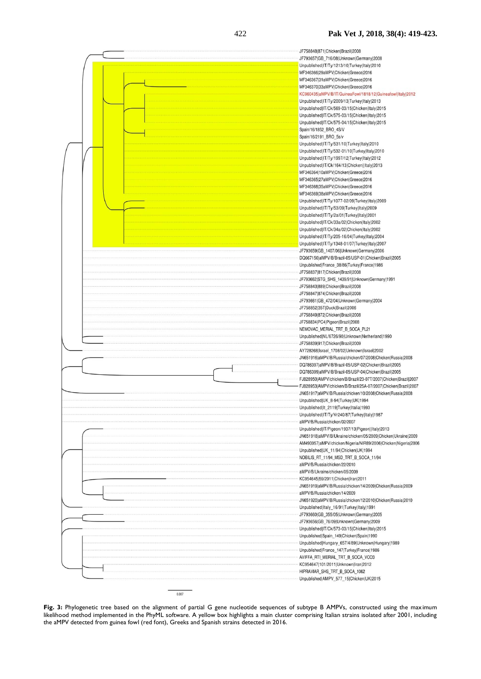

Fig. 3: Phylogenetic tree based on the alignment of partial G gene nucleotide sequences of subtype B AMPVs, constructed using the maximum likelihood method implemented in the PhyML software. A yellow box highlights a main cluster comprising Italian strains isolated after 2001, including the aMPV detected from guinea fowl (red font), Greeks and Spanish strains detected in 2016.